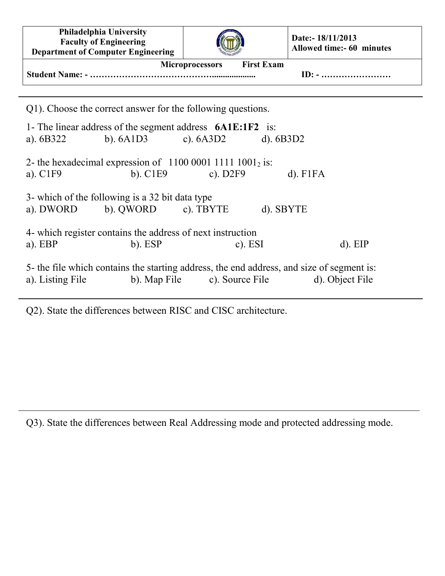| Philadelphia University<br><b>Faculty of Engineering</b><br><b>Department of Computer Engineering</b>                                                            |                       | Date:- 18/11/2013<br>Allowed time:- 60 minutes |
|------------------------------------------------------------------------------------------------------------------------------------------------------------------|-----------------------|------------------------------------------------|
| <b>First Exam</b><br><b>Microprocessors</b><br>$ID: - \dots \dots \dots \dots \dots \dots \dots \dots$                                                           |                       |                                                |
| Q1). Choose the correct answer for the following questions.                                                                                                      |                       |                                                |
| 1- The linear address of the segment address $6A1E:1F2$ is:<br>b). $6A1D3$ c). $6A3D2$ d). $6B3D2$<br>a). $6B322$                                                |                       |                                                |
| 2- the hexadecimal expression of $1100 0001 1111 1001_2$ is:<br>a). $CIF9$                                                                                       | b). $C1E9$ c). $D2F9$ | $d)$ . F1FA                                    |
| 3- which of the following is a 32 bit data type<br>a). DWORD b). QWORD c). TBYTE<br>d). SBYTE                                                                    |                       |                                                |
| 4- which register contains the address of next instruction<br>$a)$ . EBP<br>$b)$ . ESP                                                                           | c). $ESI$             | $d)$ . EIP                                     |
| 5- the file which contains the starting address, the end address, and size of segment is:<br>b). Map File c). Source File<br>d). Object File<br>a). Listing File |                       |                                                |

Q2). State the differences between RISC and CISC architecture.

Q3). State the differences between Real Addressing mode and protected addressing mode.